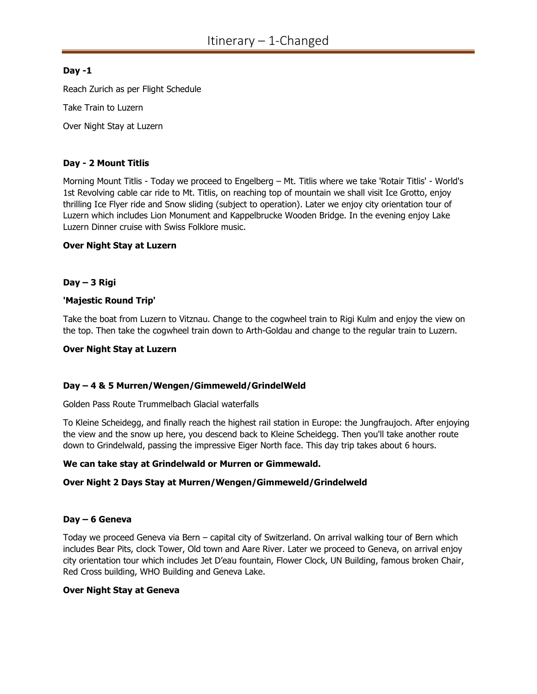# Day -1

Reach Zurich as per Flight Schedule

Take Train to Luzern

Over Night Stay at Luzern

# Day - 2 Mount Titlis

Morning Mount Titlis - Today we proceed to Engelberg – Mt. Titlis where we take 'Rotair Titlis' - World's 1st Revolving cable car ride to Mt. Titlis, on reaching top of mountain we shall visit Ice Grotto, enjoy thrilling Ice Flyer ride and Snow sliding (subject to operation). Later we enjoy city orientation tour of Luzern which includes Lion Monument and Kappelbrucke Wooden Bridge. In the evening enjoy Lake Luzern Dinner cruise with Swiss Folklore music.

### Over Night Stay at Luzern

# Day – 3 Rigi

# 'Majestic Round Trip'

Take the boat from Luzern to Vitznau. Change to the cogwheel train to Rigi Kulm and enjoy the view on the top. Then take the cogwheel train down to Arth-Goldau and change to the regular train to Luzern.

### Over Night Stay at Luzern

# Day – 4 & 5 Murren/Wengen/Gimmeweld/GrindelWeld

Golden Pass Route Trummelbach Glacial waterfalls

To Kleine Scheidegg, and finally reach the highest rail station in Europe: the Jungfraujoch. After enjoying the view and the snow up here, you descend back to Kleine Scheidegg. Then you'll take another route down to Grindelwald, passing the impressive Eiger North face. This day trip takes about 6 hours.

### We can take stay at Grindelwald or Murren or Gimmewald.

# Over Night 2 Days Stay at Murren/Wengen/Gimmeweld/Grindelweld

### Day – 6 Geneva

Today we proceed Geneva via Bern – capital city of Switzerland. On arrival walking tour of Bern which includes Bear Pits, clock Tower, Old town and Aare River. Later we proceed to Geneva, on arrival enjoy city orientation tour which includes Jet D'eau fountain, Flower Clock, UN Building, famous broken Chair, Red Cross building, WHO Building and Geneva Lake.

### Over Night Stay at Geneva